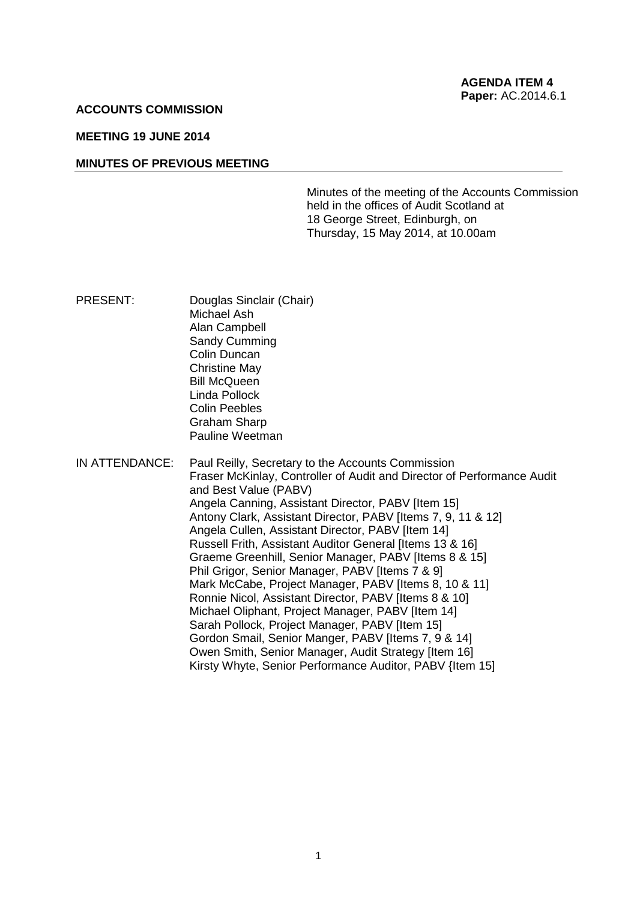### **ACCOUNTS COMMISSION**

# **MEETING 19 JUNE 2014**

#### **MINUTES OF PREVIOUS MEETING**

Minutes of the meeting of the Accounts Commission held in the offices of Audit Scotland at 18 George Street, Edinburgh, on Thursday, 15 May 2014, at 10.00am

PRESENT: Douglas Sinclair (Chair) Michael Ash Alan Campbell Sandy Cumming Colin Duncan Christine May Bill McQueen Linda Pollock Colin Peebles Graham Sharp Pauline Weetman

IN ATTENDANCE: Paul Reilly, Secretary to the Accounts Commission Fraser McKinlay, Controller of Audit and Director of Performance Audit and Best Value (PABV) Angela Canning, Assistant Director, PABV [Item 15] Antony Clark, Assistant Director, PABV [Items 7, 9, 11 & 12] Angela Cullen, Assistant Director, PABV [Item 14] Russell Frith, Assistant Auditor General [Items 13 & 16] Graeme Greenhill, Senior Manager, PABV [Items 8 & 15] Phil Grigor, Senior Manager, PABV [Items 7 & 9] Mark McCabe, Project Manager, PABV Iltems 8, 10 & 111 Ronnie Nicol, Assistant Director, PABV [Items 8 & 10] Michael Oliphant, Project Manager, PABV [Item 14] Sarah Pollock, Project Manager, PABV [Item 15] Gordon Smail, Senior Manger, PABV [Items 7, 9 & 14] Owen Smith, Senior Manager, Audit Strategy [Item 16] Kirsty Whyte, Senior Performance Auditor, PABV {Item 15]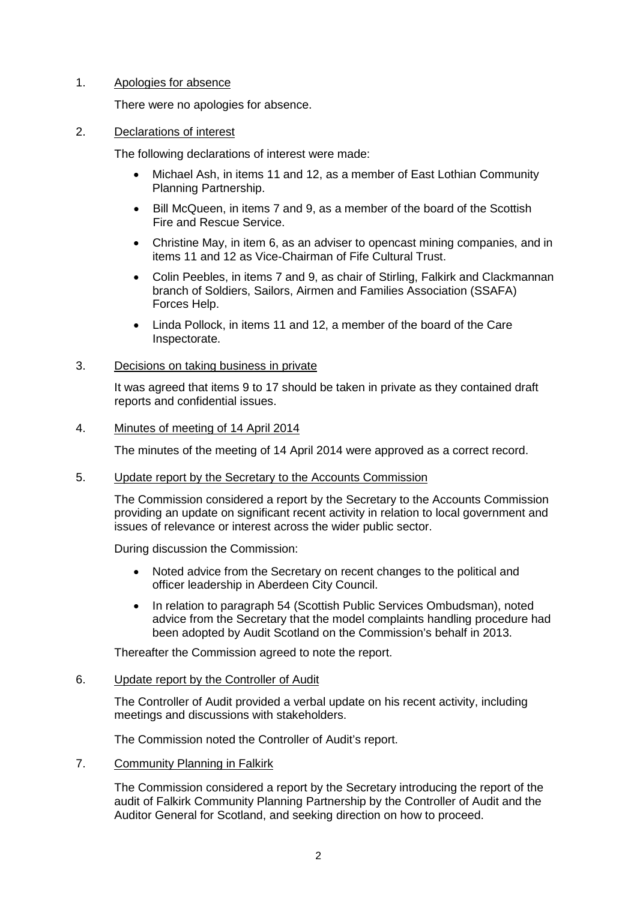# 1. Apologies for absence

There were no apologies for absence.

2. Declarations of interest

The following declarations of interest were made:

- Michael Ash, in items 11 and 12, as a member of East Lothian Community Planning Partnership.
- Bill McQueen, in items 7 and 9, as a member of the board of the Scottish Fire and Rescue Service.
- Christine May, in item 6, as an adviser to opencast mining companies, and in items 11 and 12 as Vice-Chairman of Fife Cultural Trust.
- Colin Peebles, in items 7 and 9, as chair of Stirling, Falkirk and Clackmannan branch of Soldiers, Sailors, Airmen and Families Association (SSAFA) Forces Help.
- Linda Pollock, in items 11 and 12, a member of the board of the Care Inspectorate.

## 3. Decisions on taking business in private

It was agreed that items 9 to 17 should be taken in private as they contained draft reports and confidential issues.

# 4. Minutes of meeting of 14 April 2014

The minutes of the meeting of 14 April 2014 were approved as a correct record.

### 5. Update report by the Secretary to the Accounts Commission

The Commission considered a report by the Secretary to the Accounts Commission providing an update on significant recent activity in relation to local government and issues of relevance or interest across the wider public sector.

During discussion the Commission:

- Noted advice from the Secretary on recent changes to the political and officer leadership in Aberdeen City Council.
- In relation to paragraph 54 (Scottish Public Services Ombudsman), noted advice from the Secretary that the model complaints handling procedure had been adopted by Audit Scotland on the Commission's behalf in 2013.

Thereafter the Commission agreed to note the report.

### 6. Update report by the Controller of Audit

The Controller of Audit provided a verbal update on his recent activity, including meetings and discussions with stakeholders.

The Commission noted the Controller of Audit's report.

7. Community Planning in Falkirk

The Commission considered a report by the Secretary introducing the report of the audit of Falkirk Community Planning Partnership by the Controller of Audit and the Auditor General for Scotland, and seeking direction on how to proceed.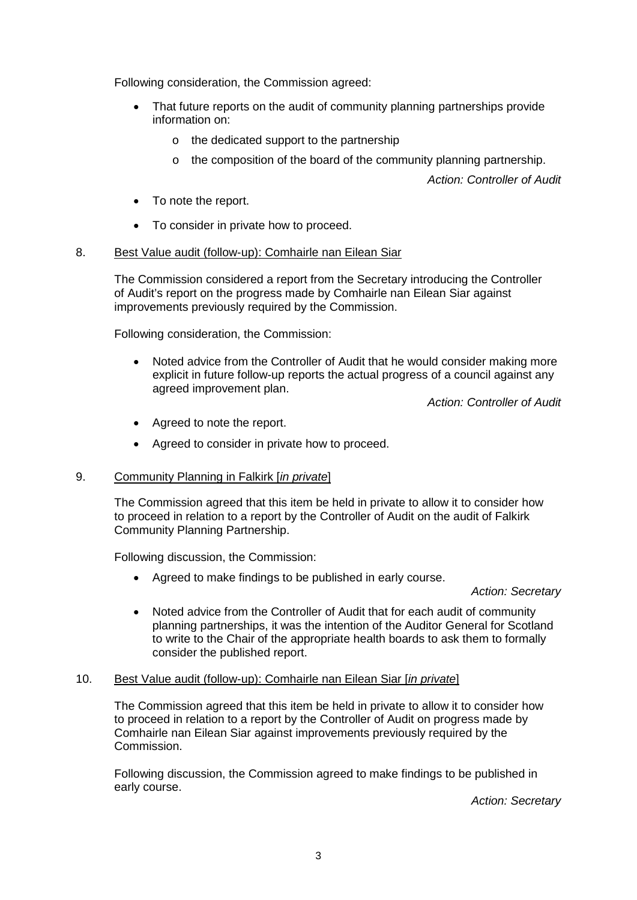Following consideration, the Commission agreed:

- That future reports on the audit of community planning partnerships provide information on:
	- o the dedicated support to the partnership
	- o the composition of the board of the community planning partnership.

*Action: Controller of Audit*

- To note the report.
- To consider in private how to proceed.

# 8. Best Value audit (follow-up): Comhairle nan Eilean Siar

The Commission considered a report from the Secretary introducing the Controller of Audit's report on the progress made by Comhairle nan Eilean Siar against improvements previously required by the Commission.

Following consideration, the Commission:

• Noted advice from the Controller of Audit that he would consider making more explicit in future follow-up reports the actual progress of a council against any agreed improvement plan.

*Action: Controller of Audit*

- Agreed to note the report.
- Agreed to consider in private how to proceed.

# 9. Community Planning in Falkirk [*in private*]

The Commission agreed that this item be held in private to allow it to consider how to proceed in relation to a report by the Controller of Audit on the audit of Falkirk Community Planning Partnership.

Following discussion, the Commission:

• Agreed to make findings to be published in early course.

### *Action: Secretary*

• Noted advice from the Controller of Audit that for each audit of community planning partnerships, it was the intention of the Auditor General for Scotland to write to the Chair of the appropriate health boards to ask them to formally consider the published report.

# 10. Best Value audit (follow-up): Comhairle nan Eilean Siar [*in private*]

The Commission agreed that this item be held in private to allow it to consider how to proceed in relation to a report by the Controller of Audit on progress made by Comhairle nan Eilean Siar against improvements previously required by the Commission.

Following discussion, the Commission agreed to make findings to be published in early course.

*Action: Secretary*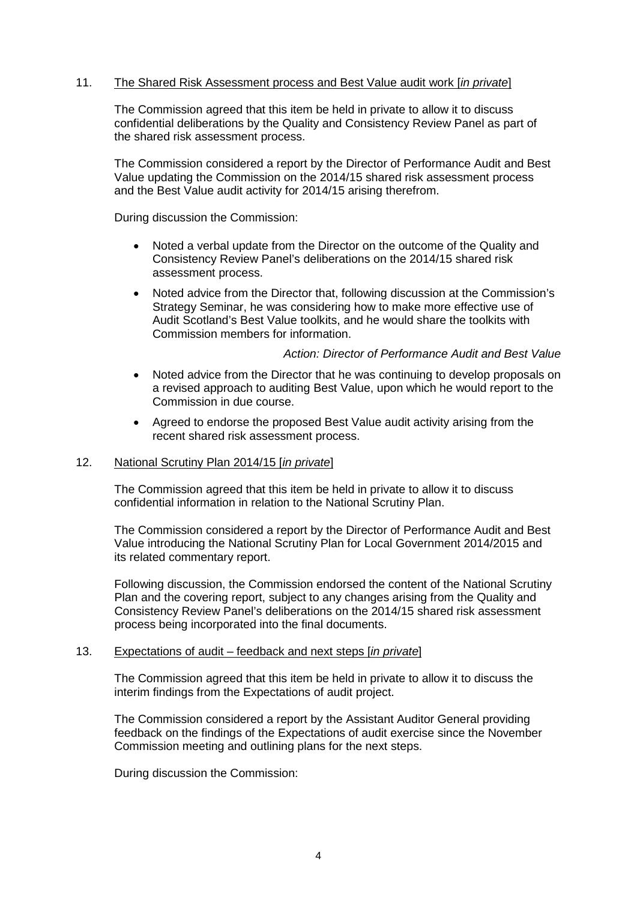## 11. The Shared Risk Assessment process and Best Value audit work [*in private*]

The Commission agreed that this item be held in private to allow it to discuss confidential deliberations by the Quality and Consistency Review Panel as part of the shared risk assessment process.

The Commission considered a report by the Director of Performance Audit and Best Value updating the Commission on the 2014/15 shared risk assessment process and the Best Value audit activity for 2014/15 arising therefrom.

During discussion the Commission:

- Noted a verbal update from the Director on the outcome of the Quality and Consistency Review Panel's deliberations on the 2014/15 shared risk assessment process.
- Noted advice from the Director that, following discussion at the Commission's Strategy Seminar, he was considering how to make more effective use of Audit Scotland's Best Value toolkits, and he would share the toolkits with Commission members for information.

### *Action: Director of Performance Audit and Best Value*

- Noted advice from the Director that he was continuing to develop proposals on a revised approach to auditing Best Value, upon which he would report to the Commission in due course.
- Agreed to endorse the proposed Best Value audit activity arising from the recent shared risk assessment process.

### 12. National Scrutiny Plan 2014/15 [*in private*]

The Commission agreed that this item be held in private to allow it to discuss confidential information in relation to the National Scrutiny Plan.

The Commission considered a report by the Director of Performance Audit and Best Value introducing the National Scrutiny Plan for Local Government 2014/2015 and its related commentary report.

Following discussion, the Commission endorsed the content of the National Scrutiny Plan and the covering report, subject to any changes arising from the Quality and Consistency Review Panel's deliberations on the 2014/15 shared risk assessment process being incorporated into the final documents.

#### 13. Expectations of audit – feedback and next steps [*in private*]

The Commission agreed that this item be held in private to allow it to discuss the interim findings from the Expectations of audit project.

The Commission considered a report by the Assistant Auditor General providing feedback on the findings of the Expectations of audit exercise since the November Commission meeting and outlining plans for the next steps.

During discussion the Commission: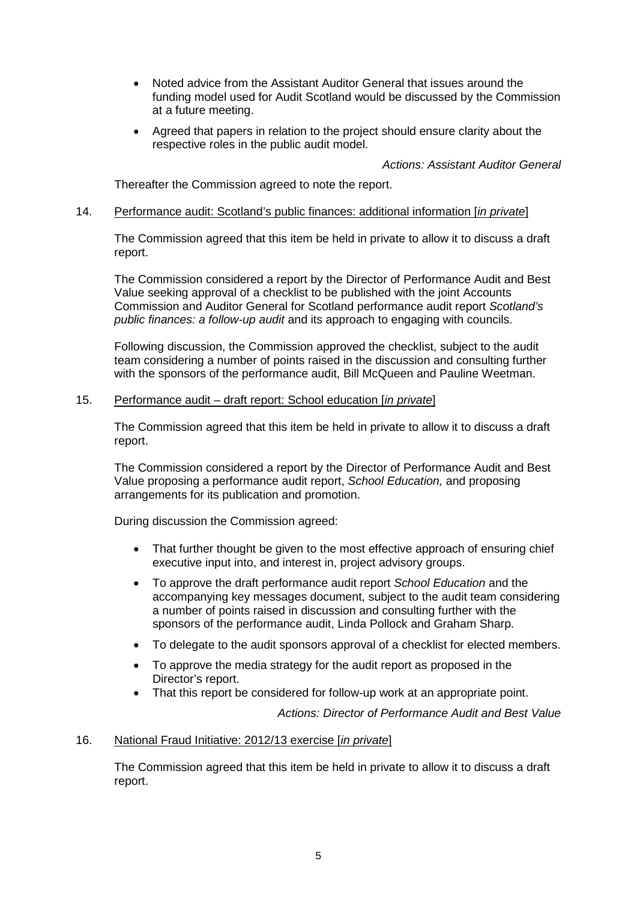- Noted advice from the Assistant Auditor General that issues around the funding model used for Audit Scotland would be discussed by the Commission at a future meeting.
- Agreed that papers in relation to the project should ensure clarity about the respective roles in the public audit model.

## *Actions: Assistant Auditor General*

Thereafter the Commission agreed to note the report.

### 14. Performance audit: Scotland's public finances: additional information [*in private*]

The Commission agreed that this item be held in private to allow it to discuss a draft report.

The Commission considered a report by the Director of Performance Audit and Best Value seeking approval of a checklist to be published with the joint Accounts Commission and Auditor General for Scotland performance audit report *Scotland's public finances: a follow-up audit* and its approach to engaging with councils.

Following discussion, the Commission approved the checklist, subject to the audit team considering a number of points raised in the discussion and consulting further with the sponsors of the performance audit, Bill McQueen and Pauline Weetman.

## 15. Performance audit – draft report: School education [*in private*]

The Commission agreed that this item be held in private to allow it to discuss a draft report.

The Commission considered a report by the Director of Performance Audit and Best Value proposing a performance audit report, *School Education,* and proposing arrangements for its publication and promotion.

During discussion the Commission agreed:

- That further thought be given to the most effective approach of ensuring chief executive input into, and interest in, project advisory groups.
- To approve the draft performance audit report *School Education* and the accompanying key messages document, subject to the audit team considering a number of points raised in discussion and consulting further with the sponsors of the performance audit, Linda Pollock and Graham Sharp.
- To delegate to the audit sponsors approval of a checklist for elected members.
- To approve the media strategy for the audit report as proposed in the Director's report.
- That this report be considered for follow-up work at an appropriate point.

*Actions: Director of Performance Audit and Best Value*

### 16. National Fraud Initiative: 2012/13 exercise [*in private*]

The Commission agreed that this item be held in private to allow it to discuss a draft report.